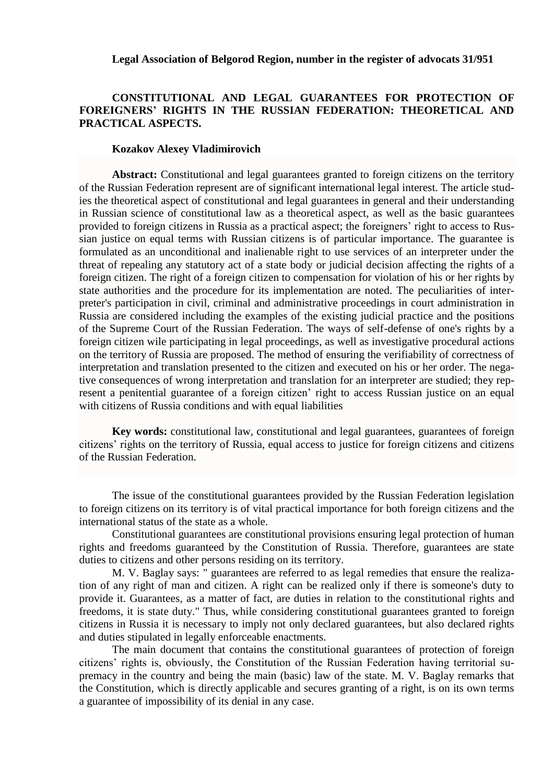## **Legal Association of Belgorod Region, number in the register of advocats 31/951**

## **CONSTITUTIONAL AND LEGAL GUARANTEES FOR PROTECTION OF FOREIGNERS' RIGHTS IN THE RUSSIAN FEDERATION: THEORETICAL AND PRACTICAL ASPECTS.**

## **Kozakov Alexey Vladimirovich**

**Abstract:** Constitutional and legal guarantees granted to foreign citizens on the territory of the Russian Federation represent are of significant international legal interest. The article studies the theoretical aspect of constitutional and legal guarantees in general and their understanding in Russian science of constitutional law as a theoretical aspect, as well as the basic guarantees provided to foreign citizens in Russia as a practical aspect; the foreigners' right to access to Russian justice on equal terms with Russian citizens is of particular importance. The guarantee is formulated as an unconditional and inalienable right to use services of an interpreter under the threat of repealing any statutory act of a state body or judicial decision affecting the rights of a foreign citizen. The right of a foreign citizen to compensation for violation of his or her rights by state authorities and the procedure for its implementation are noted. The peculiarities of interpreter's participation in civil, criminal and administrative proceedings in court administration in Russia are considered including the examples of the existing judicial practice and the positions of the Supreme Court of the Russian Federation. The ways of self-defense of one's rights by a foreign citizen wile participating in legal proceedings, as well as investigative procedural actions on the territory of Russia are proposed. The method of ensuring the verifiability of correctness of interpretation and translation presented to the citizen and executed on his or her order. The negative consequences of wrong interpretation and translation for an interpreter are studied; they represent a penitential guarantee of a foreign citizen' right to access Russian justice on an equal with citizens of Russia conditions and with equal liabilities

**Key words:** constitutional law, constitutional and legal guarantees, guarantees of foreign citizens' rights on the territory of Russia, equal access to justice for foreign citizens and citizens of the Russian Federation.

The issue of the constitutional guarantees provided by the Russian Federation legislation to foreign citizens on its territory is of vital practical importance for both foreign citizens and the international status of the state as a whole.

Constitutional guarantees are constitutional provisions ensuring legal protection of human rights and freedoms guaranteed by the Constitution of Russia. Therefore, guarantees are state duties to citizens and other persons residing on its territory.

M. V. Baglay says: " guarantees are referred to as legal remedies that ensure the realization of any right of man and citizen. A right can be realized only if there is someone's duty to provide it. Guarantees, as a matter of fact, are duties in relation to the constitutional rights and freedoms, it is state duty." Thus, while considering constitutional guarantees granted to foreign citizens in Russia it is necessary to imply not only declared guarantees, but also declared rights and duties stipulated in legally enforceable enactments.

The main document that contains the constitutional guarantees of protection of foreign citizens' rights is, obviously, the Constitution of the Russian Federation having territorial supremacy in the country and being the main (basic) law of the state. M. V. Baglay remarks that the Constitution, which is directly applicable and secures granting of a right, is on its own terms a guarantee of impossibility of its denial in any case.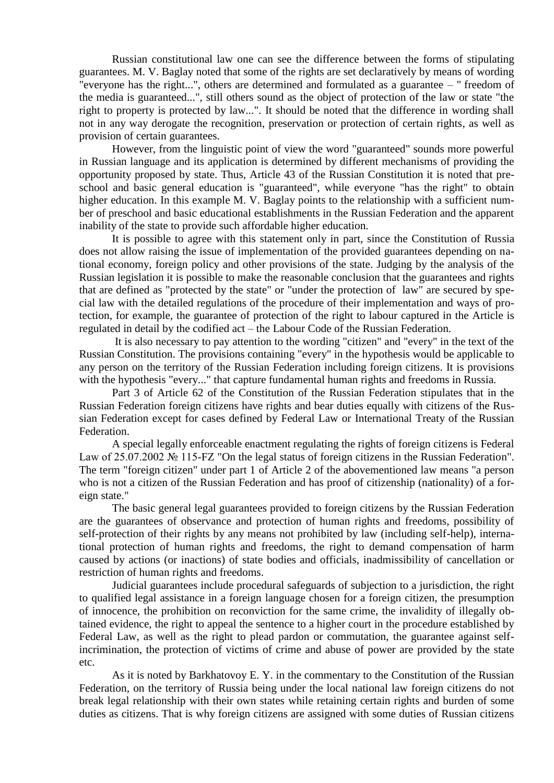Russian constitutional law one can see the difference between the forms of stipulating guarantees. M. V. Baglay noted that some of the rights are set declaratively by means of wording "everyone has the right...", others are determined and formulated as a guarantee – " freedom of the media is guaranteed...", still others sound as the object of protection of the law or state "the right to property is protected by law...". It should be noted that the difference in wording shall not in any way derogate the recognition, preservation or protection of certain rights, as well as provision of certain guarantees.

However, from the linguistic point of view the word "guaranteed" sounds more powerful in Russian language and its application is determined by different mechanisms of providing the opportunity proposed by state. Thus, Article 43 of the Russian Constitution it is noted that preschool and basic general education is "guaranteed", while everyone "has the right" to obtain higher education. In this example M. V. Baglay points to the relationship with a sufficient number of preschool and basic educational establishments in the Russian Federation and the apparent inability of the state to provide such affordable higher education.

It is possible to agree with this statement only in part, since the Constitution of Russia does not allow raising the issue of implementation of the provided guarantees depending on national economy, foreign policy and other provisions of the state. Judging by the analysis of the Russian legislation it is possible to make the reasonable conclusion that the guarantees and rights that are defined as "protected by the state" or "under the protection of law" are secured by special law with the detailed regulations of the procedure of their implementation and ways of protection, for example, the guarantee of protection of the right to labour captured in the Article is regulated in detail by the codified act – the Labour Code of the Russian Federation.

It is also necessary to pay attention to the wording "citizen" and "every" in the text of the Russian Constitution. The provisions containing "every" in the hypothesis would be applicable to any person on the territory of the Russian Federation including foreign citizens. It is provisions with the hypothesis "every..." that capture fundamental human rights and freedoms in Russia.

Part 3 of Article 62 of the Constitution of the Russian Federation stipulates that in the Russian Federation foreign citizens have rights and bear duties equally with citizens of the Russian Federation except for cases defined by Federal Law or International Treaty of the Russian Federation.

A special legally enforceable enactment regulating the rights of foreign citizens is Federal Law of 25.07.2002 № 115-FZ "On the legal status of foreign citizens in the Russian Federation". The term "foreign citizen" under part 1 of Article 2 of the abovementioned law means "a person who is not a citizen of the Russian Federation and has proof of citizenship (nationality) of a foreign state."

The basic general legal guarantees provided to foreign citizens by the Russian Federation are the guarantees of observance and protection of human rights and freedoms, possibility of self-protection of their rights by any means not prohibited by law (including self-help), international protection of human rights and freedoms, the right to demand compensation of harm caused by actions (or inactions) of state bodies and officials, inadmissibility of cancellation or restriction of human rights and freedoms.

Judicial guarantees include procedural safeguards of subjection to a jurisdiction, the right to qualified legal assistance in a foreign language chosen for a foreign citizen, the presumption of innocence, the prohibition on reconviction for the same crime, the invalidity of illegally obtained evidence, the right to appeal the sentence to a higher court in the procedure established by Federal Law, as well as the right to plead pardon or commutation, the guarantee against selfincrimination, the protection of victims of crime and abuse of power are provided by the state etc.

As it is noted by Barkhatovoy E. Y. in the commentary to the Constitution of the Russian Federation, on the territory of Russia being under the local national law foreign citizens do not break legal relationship with their own states while retaining certain rights and burden of some duties as citizens. That is why foreign citizens are assigned with some duties of Russian citizens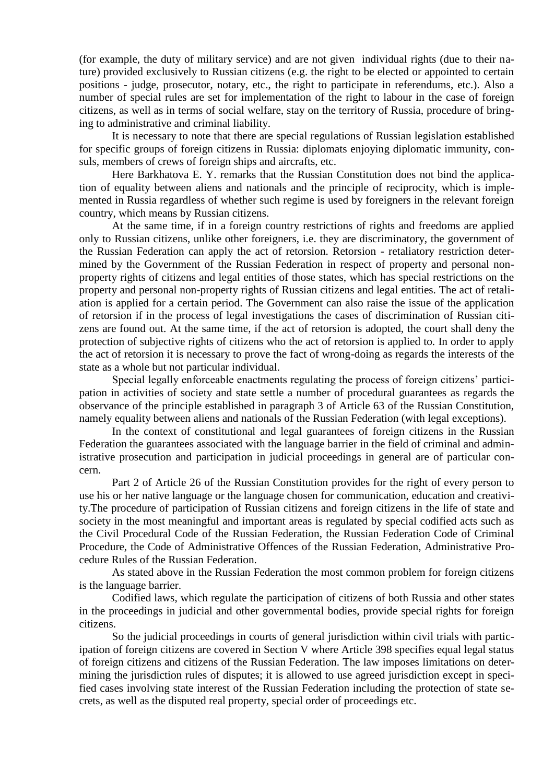(for example, the duty of military service) and are not given individual rights (due to their nature) provided exclusively to Russian citizens (e.g. the right to be elected or appointed to certain positions - judge, prosecutor, notary, etc., the right to participate in referendums, etc.). Also a number of special rules are set for implementation of the right to labour in the case of foreign citizens, as well as in terms of social welfare, stay on the territory of Russia, procedure of bringing to administrative and criminal liability.

It is necessary to note that there are special regulations of Russian legislation established for specific groups of foreign citizens in Russia: diplomats enjoying diplomatic immunity, consuls, members of crews of foreign ships and aircrafts, etc.

Here Barkhatova E. Y. remarks that the Russian Constitution does not bind the application of equality between aliens and nationals and the principle of reciprocity, which is implemented in Russia regardless of whether such regime is used by foreigners in the relevant foreign country, which means by Russian citizens.

At the same time, if in a foreign country restrictions of rights and freedoms are applied only to Russian citizens, unlike other foreigners, i.e. they are discriminatory, the government of the Russian Federation can apply the act of retorsion. Retorsion - retaliatory restriction determined by the Government of the Russian Federation in respect of property and personal nonproperty rights of citizens and legal entities of those states, which has special restrictions on the property and personal non-property rights of Russian citizens and legal entities. The act of retaliation is applied for a certain period. The Government can also raise the issue of the application of retorsion if in the process of legal investigations the cases of discrimination of Russian citizens are found out. At the same time, if the act of retorsion is adopted, the court shall deny the protection of subjective rights of citizens who the act of retorsion is applied to. In order to apply the act of retorsion it is necessary to prove the fact of wrong-doing as regards the interests of the state as a whole but not particular individual.

Special legally enforceable enactments regulating the process of foreign citizens' participation in activities of society and state settle a number of procedural guarantees as regards the observance of the principle established in paragraph 3 of Article 63 of the Russian Constitution, namely equality between aliens and nationals of the Russian Federation (with legal exceptions).

In the context of constitutional and legal guarantees of foreign citizens in the Russian Federation the guarantees associated with the language barrier in the field of criminal and administrative prosecution and participation in judicial proceedings in general are of particular concern.

Part 2 of Article 26 of the Russian Constitution provides for the right of every person to use his or her native language or the language chosen for communication, education and creativity.The procedure of participation of Russian citizens and foreign citizens in the life of state and society in the most meaningful and important areas is regulated by special codified acts such as the Civil Procedural Code of the Russian Federation, the Russian Federation Code of Criminal Procedure, the Code of Administrative Offences of the Russian Federation, Administrative Procedure Rules of the Russian Federation.

As stated above in the Russian Federation the most common problem for foreign citizens is the language barrier.

Codified laws, which regulate the participation of citizens of both Russia and other states in the proceedings in judicial and other governmental bodies, provide special rights for foreign citizens.

So the judicial proceedings in courts of general jurisdiction within civil trials with participation of foreign citizens are covered in Section V where Article 398 specifies equal legal status of foreign citizens and citizens of the Russian Federation. The law imposes limitations on determining the jurisdiction rules of disputes; it is allowed to use agreed jurisdiction except in specified cases involving state interest of the Russian Federation including the protection of state secrets, as well as the disputed real property, special order of proceedings etc.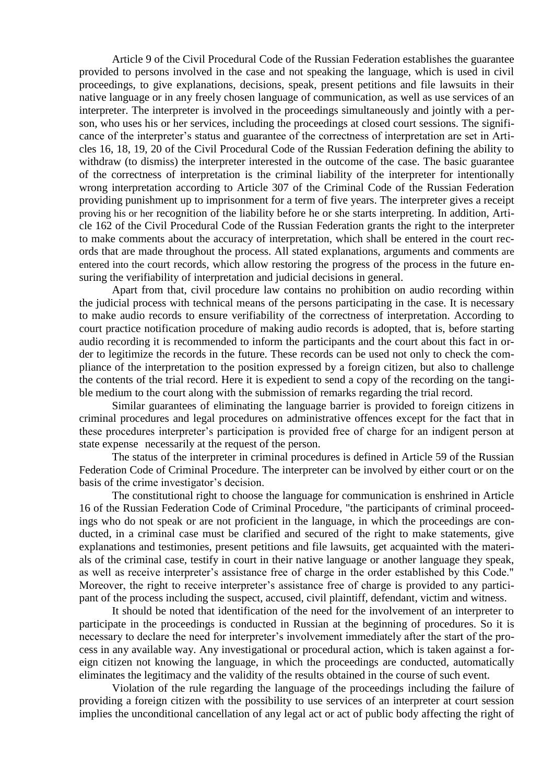Article 9 of the Civil Procedural Code of the Russian Federation establishes the guarantee provided to persons involved in the case and not speaking the language, which is used in civil proceedings, to give explanations, decisions, speak, present petitions and file lawsuits in their native language or in any freely chosen language of communication, as well as use services of an interpreter. The interpreter is involved in the proceedings simultaneously and jointly with a person, who uses his or her services, including the proceedings at closed court sessions. The significance of the interpreter's status and guarantee of the correctness of interpretation are set in Articles 16, 18, 19, 20 of the Civil Procedural Code of the Russian Federation defining the ability to withdraw (to dismiss) the interpreter interested in the outcome of the case. The basic guarantee of the correctness of interpretation is the criminal liability of the interpreter for intentionally wrong interpretation according to Article 307 of the Criminal Code of the Russian Federation providing punishment up to imprisonment for a term of five years. The interpreter gives a receipt proving his or her recognition of the liability before he or she starts interpreting. In addition, Article 162 of the Civil Procedural Code of the Russian Federation grants the right to the interpreter to make comments about the accuracy of interpretation, which shall be entered in the court records that are made throughout the process. All stated explanations, arguments and comments are entered into the court records, which allow restoring the progress of the process in the future ensuring the verifiability of interpretation and judicial decisions in general.

Apart from that, civil procedure law contains no prohibition on audio recording within the judicial process with technical means of the persons participating in the case. It is necessary to make audio records to ensure verifiability of the correctness of interpretation. According to court practice notification procedure of making audio records is adopted, that is, before starting audio recording it is recommended to inform the participants and the court about this fact in order to legitimize the records in the future. These records can be used not only to check the compliance of the interpretation to the position expressed by a foreign citizen, but also to challenge the contents of the trial record. Here it is expedient to send a copy of the recording on the tangible medium to the court along with the submission of remarks regarding the trial record.

Similar guarantees of eliminating the language barrier is provided to foreign citizens in criminal procedures and legal procedures on administrative offences except for the fact that in these procedures interpreter's participation is provided free of charge for an indigent person at state expense necessarily at the request of the person.

The status of the interpreter in criminal procedures is defined in Article 59 of the Russian Federation Code of Criminal Procedure. The interpreter can be involved by either court or on the basis of the crime investigator's decision.

The constitutional right to choose the language for communication is enshrined in Article 16 of the Russian Federation Code of Criminal Procedure, "the participants of criminal proceedings who do not speak or are not proficient in the language, in which the proceedings are conducted, in a criminal case must be clarified and secured of the right to make statements, give explanations and testimonies, present petitions and file lawsuits, get acquainted with the materials of the criminal case, testify in court in their native language or another language they speak, as well as receive interpreter's assistance free of charge in the order established by this Code." Moreover, the right to receive interpreter's assistance free of charge is provided to any participant of the process including the suspect, accused, civil plaintiff, defendant, victim and witness.

It should be noted that identification of the need for the involvement of an interpreter to participate in the proceedings is conducted in Russian at the beginning of procedures. So it is necessary to declare the need for interpreter's involvement immediately after the start of the process in any available way. Any investigational or procedural action, which is taken against a foreign citizen not knowing the language, in which the proceedings are conducted, automatically eliminates the legitimacy and the validity of the results obtained in the course of such event.

Violation of the rule regarding the language of the proceedings including the failure of providing a foreign citizen with the possibility to use services of an interpreter at court session implies the unconditional cancellation of any legal act or act of public body affecting the right of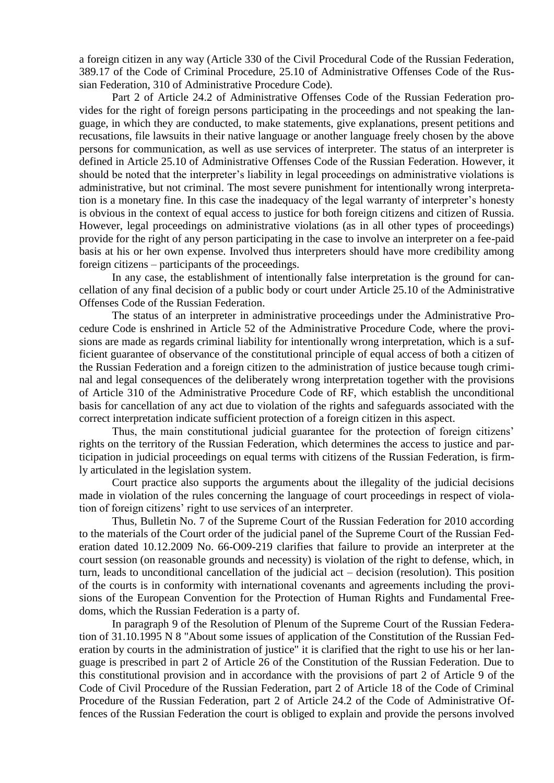a foreign citizen in any way (Article 330 of the Civil Procedural Code of the Russian Federation, 389.17 of the Code of Criminal Procedure, 25.10 of Administrative Offenses Code of the Russian Federation, 310 of Administrative Procedure Code).

Part 2 of Article 24.2 of Administrative Offenses Code of the Russian Federation provides for the right of foreign persons participating in the proceedings and not speaking the language, in which they are conducted, to make statements, give explanations, present petitions and recusations, file lawsuits in their native language or another language freely chosen by the above persons for communication, as well as use services of interpreter. The status of an interpreter is defined in Article 25.10 of Administrative Offenses Code of the Russian Federation. However, it should be noted that the interpreter's liability in legal proceedings on administrative violations is administrative, but not criminal. The most severe punishment for intentionally wrong interpretation is a monetary fine. In this case the inadequacy of the legal warranty of interpreter's honesty is obvious in the context of equal access to justice for both foreign citizens and citizen of Russia. However, legal proceedings on administrative violations (as in all other types of proceedings) provide for the right of any person participating in the case to involve an interpreter on a fee-paid basis at his or her own expense. Involved thus interpreters should have more credibility among foreign citizens – participants of the proceedings.

In any case, the establishment of intentionally false interpretation is the ground for cancellation of any final decision of a public body or court under Article 25.10 of the Administrative Offenses Code of the Russian Federation.

The status of an interpreter in administrative proceedings under the Administrative Procedure Code is enshrined in Article 52 of the Administrative Procedure Code, where the provisions are made as regards criminal liability for intentionally wrong interpretation, which is a sufficient guarantee of observance of the constitutional principle of equal access of both a citizen of the Russian Federation and a foreign citizen to the administration of justice because tough criminal and legal consequences of the deliberately wrong interpretation together with the provisions of Article 310 of the Administrative Procedure Code of RF, which establish the unconditional basis for cancellation of any act due to violation of the rights and safeguards associated with the correct interpretation indicate sufficient protection of a foreign citizen in this aspect.

Thus, the main constitutional judicial guarantee for the protection of foreign citizens' rights on the territory of the Russian Federation, which determines the access to justice and participation in judicial proceedings on equal terms with citizens of the Russian Federation, is firmly articulated in the legislation system.

Court practice also supports the arguments about the illegality of the judicial decisions made in violation of the rules concerning the language of court proceedings in respect of violation of foreign citizens' right to use services of an interpreter.

Thus, Bulletin No. 7 of the Supreme Court of the Russian Federation for 2010 according to the materials of the Court order of the judicial panel of the Supreme Court of the Russian Federation dated 10.12.2009 No. 66-О09-219 clarifies that failure to provide an interpreter at the court session (on reasonable grounds and necessity) is violation of the right to defense, which, in turn, leads to unconditional cancellation of the judicial act – decision (resolution). This position of the courts is in conformity with international covenants and agreements including the provisions of the European Convention for the Protection of Human Rights and Fundamental Freedoms, which the Russian Federation is a party of.

In paragraph 9 of the Resolution of Plenum of the Supreme Court of the Russian Federation of 31.10.1995 N 8 "About some issues of application of the Constitution of the Russian Federation by courts in the administration of justice" it is clarified that the right to use his or her language is prescribed in part 2 of Article 26 of the Constitution of the Russian Federation. Due to this constitutional provision and in accordance with the provisions of part 2 of Article 9 of the Code of Civil Procedure of the Russian Federation, part 2 of Article 18 of the Code of Criminal Procedure of the Russian Federation, part 2 of Article 24.2 of the Code of Administrative Offences of the Russian Federation the court is obliged to explain and provide the persons involved